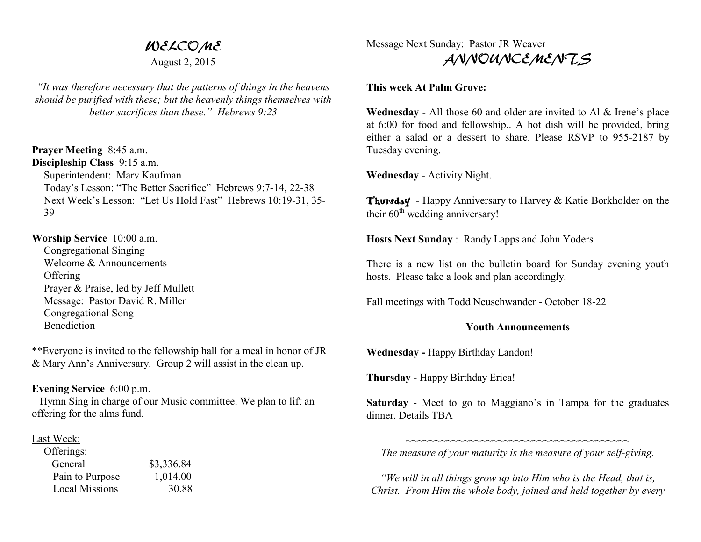# WELCOME

August 2, 2015

*"It was therefore necessary that the patterns of things in the heavens should be purified with these; but the heavenly things themselves with better sacrifices than these." Hebrews 9:23* 

**Prayer Meeting** 8:45 a.m. **Discipleship Class** 9:15 a.m. Superintendent: Marv Kaufman Today's Lesson: "The Better Sacrifice" Hebrews 9:7-14, 22-38 Next Week's Lesson: "Let Us Hold Fast" Hebrews 10:19-31, 35-39

#### **Worship Service** 10:00 a.m.

 Congregational Singing Welcome & Announcements **Offering**  Prayer & Praise, led by Jeff Mullett Message: Pastor David R. Miller Congregational Song **Benediction** 

\*\*Everyone is invited to the fellowship hall for a meal in honor of JR & Mary Ann's Anniversary. Group 2 will assist in the clean up.

## **Evening Service** 6:00 p.m.

 Hymn Sing in charge of our Music committee. We plan to lift an offering for the alms fund.

## Last Week:

| Offerings:            |            |
|-----------------------|------------|
| General               | \$3,336.84 |
| Pain to Purpose       | 1,014.00   |
| <b>Local Missions</b> | 30.88      |

Message Next Sunday: Pastor JR Weaver ANNOUNCEMENTS

### **This week At Palm Grove:**

**Wednesday** - All those 60 and older are invited to Al & Irene's place at 6:00 for food and fellowship.. A hot dish will be provided, bring either a salad or a dessert to share. Please RSVP to 955-2187 by Tuesday evening.

**Wednesday** - Activity Night.

Thursday - Happy Anniversary to Harvey & Katie Borkholder on the their  $60<sup>th</sup>$  wedding anniversary!

**Hosts Next Sunday** : Randy Lapps and John Yoders

There is a new list on the bulletin board for Sunday evening youth hosts. Please take a look and plan accordingly.

Fall meetings with Todd Neuschwander - October 18-22

#### **Youth Announcements**

**Wednesday -** Happy Birthday Landon!

**Thursday** - Happy Birthday Erica!

**Saturday** - Meet to go to Maggiano's in Tampa for the graduates dinner. Details TBA

~~~~~~~~~~~~~~~~~~~~~~~~~~~~~~~~~~~~~~~ *The measure of your maturity is the measure of your self-giving.* 

*"We will in all things grow up into Him who is the Head, that is, Christ. From Him the whole body, joined and held together by every*